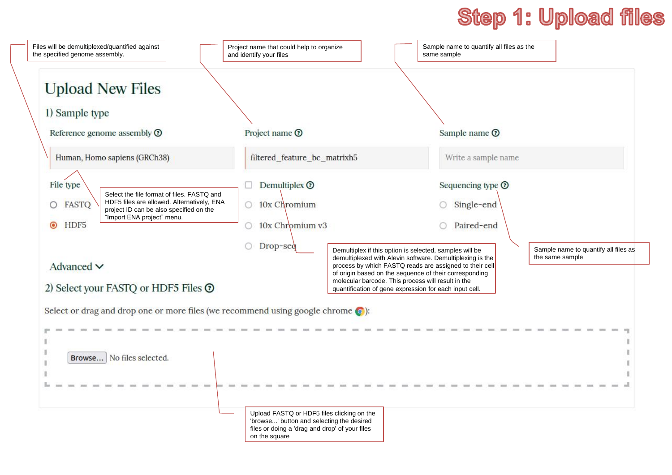# **Step 1: Upload files**

| <b>Upload New Files</b>                                                                                                                                                                                                                   |                                                                                                                                           |  |                                                                                                                                                                                                                                                                                                        |  |  |  |
|-------------------------------------------------------------------------------------------------------------------------------------------------------------------------------------------------------------------------------------------|-------------------------------------------------------------------------------------------------------------------------------------------|--|--------------------------------------------------------------------------------------------------------------------------------------------------------------------------------------------------------------------------------------------------------------------------------------------------------|--|--|--|
| 1) Sample type<br>Reference genome assembly <sup>®</sup>                                                                                                                                                                                  | Project name $\odot$                                                                                                                      |  | Sample name <sup>O</sup>                                                                                                                                                                                                                                                                               |  |  |  |
| Human, Homo sapiens (GRCh38)                                                                                                                                                                                                              | filtered_feature_bc_matrixh5                                                                                                              |  | Write a sample name                                                                                                                                                                                                                                                                                    |  |  |  |
| File type<br>Select the file format of files. FASTQ and<br>HDF5 files are allowed. Alternatively, ENA<br>FASTQ<br>project ID can be also specified on the<br>"Import ENA project" menu.<br>HDF <sub>5</sub><br>$\odot$<br>Advanced $\vee$ | Demultiplex <sup>O</sup><br>$\circ$ 10x Chromium<br>10x Chromium v3<br>0.<br>Drop-seq                                                     |  | Sequencing type <sup>O</sup><br>Single-end<br>Paired-end<br>Sample name to quantify all files as<br>Demultiplex if this option is selected, samples will be<br>the same sample<br>demultiplexed with Alevin software. Demultiplexing is the<br>process by which FASTQ reads are assigned to their cell |  |  |  |
| 2) Select your FASTQ or HDF5 Files <sup>O</sup>                                                                                                                                                                                           |                                                                                                                                           |  | of origin based on the sequence of their corresponding<br>molecular barcode. This process will result in the<br>quantification of gene expression for each input cell.                                                                                                                                 |  |  |  |
| Select or drag and drop one or more files (we recommend using google chrome $\odot$ ):                                                                                                                                                    |                                                                                                                                           |  |                                                                                                                                                                                                                                                                                                        |  |  |  |
| Browse No files selected.                                                                                                                                                                                                                 |                                                                                                                                           |  |                                                                                                                                                                                                                                                                                                        |  |  |  |
|                                                                                                                                                                                                                                           | Upload FASTQ or HDF5 files clicking on the<br>'browse' button and selecting the desired<br>files or doing a 'drag and drop' of your files |  |                                                                                                                                                                                                                                                                                                        |  |  |  |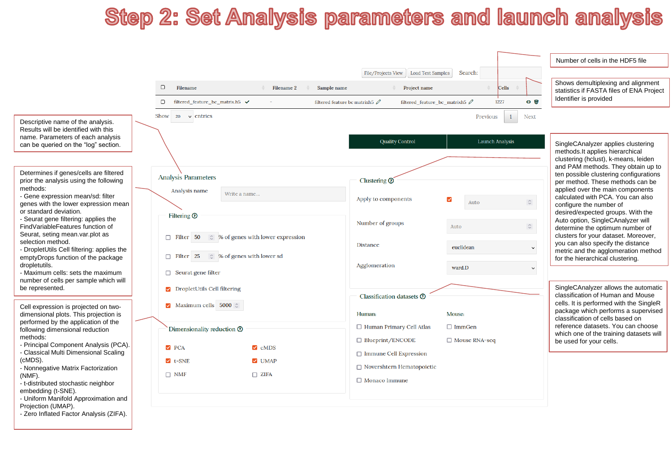## **Step 2: Set Analysis parameters and launch analysis**

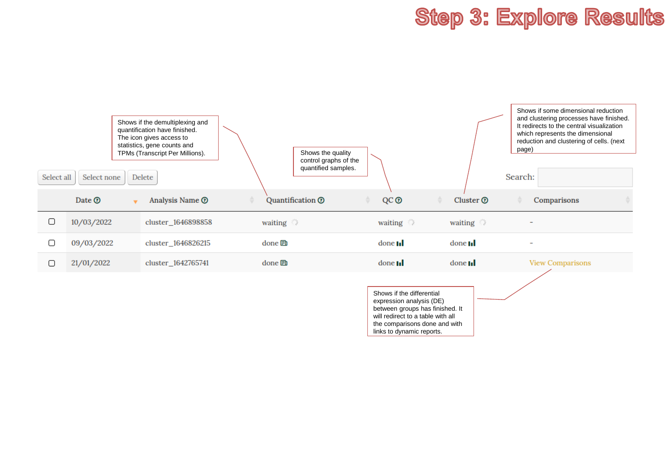### **Step 3: Explore Results**

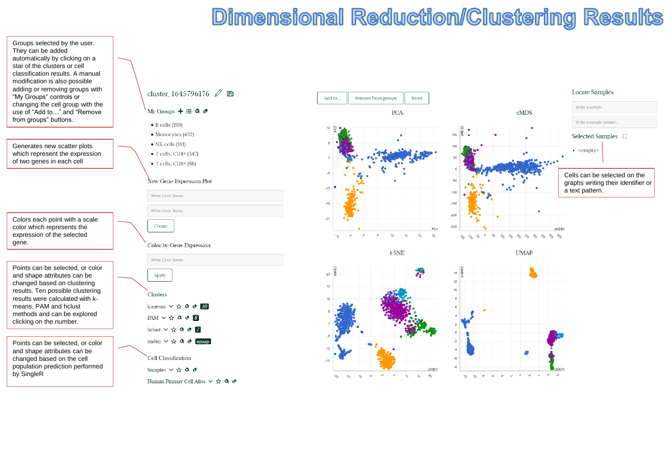## **Dimensional Reduction/Clustering Results**

Groups selected by the user. They can be added automatically by clicking on a star of the clusters or cell classification results. A manual modification is also possible adding or removing groups with "My Groups" controls or changing the cell group with the use of "Add to…" and "Remove from groups" buttons.

Generates new scatter plots which represent the expression of two genes in each cell

Colors each point with a scale color which represents the expression of the selected gene.

Points can be selected, or color and shape attributes can be changed based on clustering results. Ten possible clustering results were calculated with k means, PAM and hclust methods and can be explored clicking on the number.

Points can be selected, or color and shape attributes can be changed based on the cell population prediction performed by SingleR



#### My Groups  $\div \equiv 9$  &

- $\bullet$  B cells (199)
- $\bullet$  Monocytes (432)
- $\bullet$  NK cells (161)
- $\bullet$  T cells, CD4+ (347)
- $\bullet$  T cells, CD8+ (88)

### New Gene Expression Plot



### Color by Gene Expression







 $t$ -SNE

 $20 \frac{12}{9}$ 

15

 $10<sup>10</sup>$ 

 $\mathbf{e}$  $\gamma_{\rm g}$  $\mathcal{V}_\alpha$  **UMAP** 

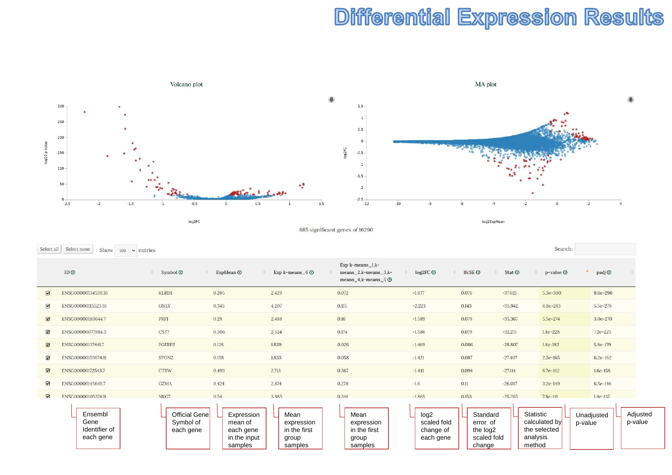### **Differential Expression Results**



log2FC

685 significant genes of 16290

Select all Select none Search: Show  $100 \times$  entries  $Exp k-means_1,k ID<sub>O</sub>$ Symbol<sup>O</sup> ExpMean <sup>®</sup> Exp k-means  $60$ means\_2,k-means\_3,klog2FC <sup>O</sup> IfcSE<sup>O</sup> Stat <sup>O</sup> p-value  $\odot$ padj<sup>o</sup> means\_4,k-means\_5 $\circledcirc$  $\boldsymbol{\alpha}$ ENSG00000134539.16 KLRD1 0.205 2.429 0.072  $-1.677$ 0.076  $-37.021$ 5.3e-300 8.6e-296  $\alpha$ ENSG00000115523.16 GNLY 0.345 4.207 0.115  $-2.223$ 0.143  $-35.942$ 6.8e-283 5.5e-279 PRF1 0.29 0.16 0.079  $\mathbf \Omega$ ENSG00000180644.7 2.488  $-1.589$  $-35.367$ 5.5e-274 3.0e-270  $\alpha$ ENSG00000077984.5 CST7 0.306 2.524 0.174  $-1.586$ 0.079  $-32.271$ 1.8e-228  $7.2e - 225$ 0.026  $\alpha$ ENSG00000137441.7 FGFBP2 0.128 1.839  $-1.469$ 0.086  $-28.807$ 1.8e-182 5.8e-179  $\boldsymbol{\alpha}$ ENSG00000159674.11 SPON<sub>2</sub> 0.158 1.833 0.058  $-1.421$ 0.087  $-27.407$ 2.3e-165 6.2e-162  $\alpha$ ENSG00000172543.7 CTSW 0.499 2.713 0.367  $-1.441$ 0.094  $-27.114$ 6.7e-162 1.6e-158 **GZMA**  $\mbox{-}1.6$  $0.11$  $\mathbf G$ ENSG00000145649.7 0.424 2.874 0.278  $-26.017$  $3.2e-149$ 6.5e-146  $\overline{M}$ ENSG00000105374.9 NKG7  $0.54$ 3.885 0.341  $-1.865$  $0.153$  $-25.265$  $7.8e - 141$  $1.4e-137$ Ensembl Statistic Official Gene Expression Mean Mean expression log2 **Standard** Unadjusted<br>p-value Adjusted p-valueGene Symbol of scaled fold calculated by mean of expression error of Identifier of each gene in the first in the first change of the log2 the selected each gene analysis each gene in the input scaled fold group group each gene method samples samples samples change